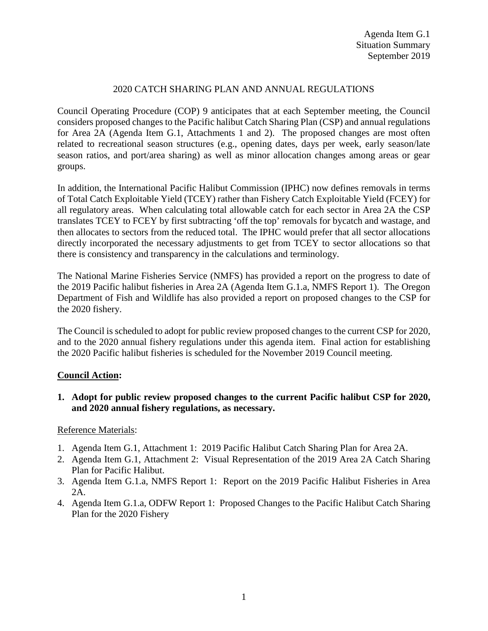## 2020 CATCH SHARING PLAN AND ANNUAL REGULATIONS

Council Operating Procedure (COP) 9 anticipates that at each September meeting, the Council considers proposed changes to the Pacific halibut Catch Sharing Plan (CSP) and annual regulations for Area 2A (Agenda Item G.1, Attachments 1 and 2). The proposed changes are most often related to recreational season structures (e.g., opening dates, days per week, early season/late season ratios, and port/area sharing) as well as minor allocation changes among areas or gear groups.

In addition, the International Pacific Halibut Commission (IPHC) now defines removals in terms of Total Catch Exploitable Yield (TCEY) rather than Fishery Catch Exploitable Yield (FCEY) for all regulatory areas. When calculating total allowable catch for each sector in Area 2A the CSP translates TCEY to FCEY by first subtracting 'off the top' removals for bycatch and wastage, and then allocates to sectors from the reduced total. The IPHC would prefer that all sector allocations directly incorporated the necessary adjustments to get from TCEY to sector allocations so that there is consistency and transparency in the calculations and terminology.

The National Marine Fisheries Service (NMFS) has provided a report on the progress to date of the 2019 Pacific halibut fisheries in Area 2A (Agenda Item G.1.a, NMFS Report 1). The Oregon Department of Fish and Wildlife has also provided a report on proposed changes to the CSP for the 2020 fishery.

The Council is scheduled to adopt for public review proposed changes to the current CSP for 2020, and to the 2020 annual fishery regulations under this agenda item. Final action for establishing the 2020 Pacific halibut fisheries is scheduled for the November 2019 Council meeting.

## **Council Action:**

**1. Adopt for public review proposed changes to the current Pacific halibut CSP for 2020, and 2020 annual fishery regulations, as necessary.**

## Reference Materials:

- 1. Agenda Item G.1, Attachment 1: 2019 Pacific Halibut Catch Sharing Plan for Area 2A.
- 2. Agenda Item G.1, Attachment 2: Visual Representation of the 2019 Area 2A Catch Sharing Plan for Pacific Halibut.
- 3. Agenda Item G.1.a, NMFS Report 1: Report on the 2019 Pacific Halibut Fisheries in Area 2A.
- 4. Agenda Item G.1.a, ODFW Report 1: Proposed Changes to the Pacific Halibut Catch Sharing Plan for the 2020 Fishery